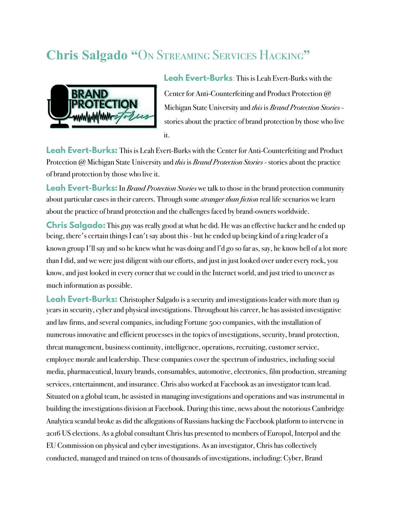## **Chris Salgado "**On Streaming Services Hacking**"**



**Leah Evert-Burks**: This is Leah Evert-Burks with the Center for Anti-Counterfeiting and Product Protection @ Michigan State University and *this* is *Brand Protection Stories* stories about the practice of brand protection by those who live it.

**Leah Evert-Burks:** This is Leah Evert-Burks with the Center for Anti-Counterfeiting and Product Protection @ Michigan State University and *this* is *Brand Protection Stories* - stories about the practice of brand protection by those who live it.

**Leah Evert-Burks:** In *Brand Protection Stories* we talk to those in the brand protection community about particular cases in their careers. Through some *stranger than fiction* real life scenarios we learn about the practice of brand protection and the challenges faced by brand-owners worldwide.

**Chris Salgado:** This guy was really good at what he did. He was an effective hacker and he ended up being, there's certain things I can't say about this - but he ended up being kind of a ring leader of a known group I'll say and so he knew what he was doing and l'd go so far as, say, he know hell of a lot more than I did, and we were just diligent with our efforts, and just in just looked over under every rock, you know, and just looked in every corner that we could in the Internet world, and just tried to uncover as much information as possible.

Leah Evert-Burks: Christopher Salgado is a security and investigations leader with more than 19 years in security, cyber and physical investigations. Throughout his career, he has assisted investigative and law firms, and several companies, including Fortune 500 companies, with the installation of numerous innovative and efficient processes in the topics of investigations, security, brand protection, threat management, business continuity, intelligence, operations, recruiting, customer service, employee morale and leadership. These companies cover the spectrum of industries, including social media, pharmaceutical, luxury brands, consumables, automotive, electronics, film production, streaming services, entertainment, and insurance. Chris also worked at Facebook as an investigator team lead. Situated on a global team, he assisted in managing investigations and operations and was instrumental in building the investigations division at Facebook. During this time, news about the notorious Cambridge Analytica scandal broke as did the allegations of Russians hacking the Facebook platform to intervene in 2016 US elections. As a global consultant Chris has presented to members of Europol, Interpol and the EU Commission on physical and cyber investigations. As an investigator, Chris has collectively conducted, managed and trained on tens of thousands of investigations, including: Cyber, Brand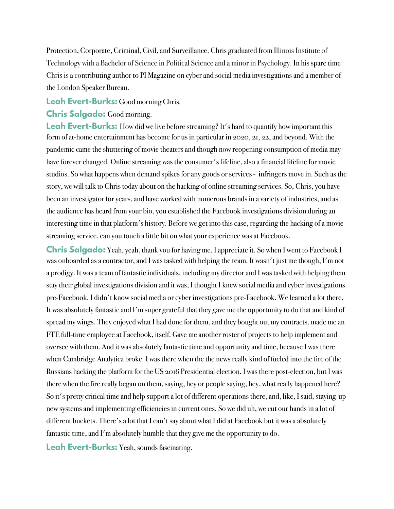Protection, Corporate, Criminal, Civil, and Surveillance. Chris graduated from Illinois Institute of Technology with a Bachelor of Science in Political Science and a minor in Psychology. In his spare time Chris is a contributing author to PI Magazine on cyber and social media investigations and a member of the London Speaker Bureau.

**Leah Evert-Burks:** Good morning Chris.

**Chris Salgado:** Good morning.

**Leah Evert-Burks:** How did we live before streaming? It's hard to quantify how important this form of at-home entertainment has become for us in particular in 2020, 21, 22, and beyond. With the pandemic came the shuttering of movie theaters and though now reopening consumption of media may have forever changed. Online streaming was the consumer's lifeline, also a financial lifeline for movie studios. So what happens when demand spikes for any goods or services - infringers move in. Such as the story, we will talk to Chris today about on the hacking of online streaming services. So, Chris, you have been an investigator for years, and have worked with numerous brands in a variety of industries, and as the audience has heard from your bio, you established the Facebook investigations division during an interesting time in that platform's history. Before we get into this case, regarding the hacking of a movie streaming service, can you touch a little bit on what your experience was at Facebook.

**Chris Salgado:** Yeah, yeah, thank you for having me. I appreciate it. So when I went to Facebook I was onboarded as a contractor, and I was tasked with helping the team. It wasn't just me though, I'm not a prodigy. It was a team of fantastic individuals, including my director and I was tasked with helping them stay their global investigations division and it was, I thought I knew social media and cyber investigations pre-Facebook. I didn't know social media or cyber investigations pre-Facebook. We learned a lot there. It was absolutely fantastic and I'm super grateful that they gave me the opportunity to do that and kind of spread my wings. They enjoyed what I had done for them, and they bought out my contracts, made me an FTE full-time employee at Facebook, itself. Gave me another roster of projects to help implement and oversee with them. And it was absolutely fantastic time and opportunity and time, because I was there when Cambridge Analytica broke. I was there when the the news really kind of fueled into the fire of the Russians hacking the platform for the US 2016 Presidential election. I was there post-election, but I was there when the fire really began on them, saying, hey or people saying, hey, what really happened here? So it's pretty critical time and help support a lot of different operations there, and, like, I said, staying-up new systems and implementing efficiencies in current ones. So we did uh, we cut our hands in a lot of different buckets. There's a lot that I can't say about what I did at Facebook but it was a absolutely fantastic time, and I'm absolutely humble that they give me the opportunity to do.

**Leah Evert-Burks:** Yeah, sounds fascinating.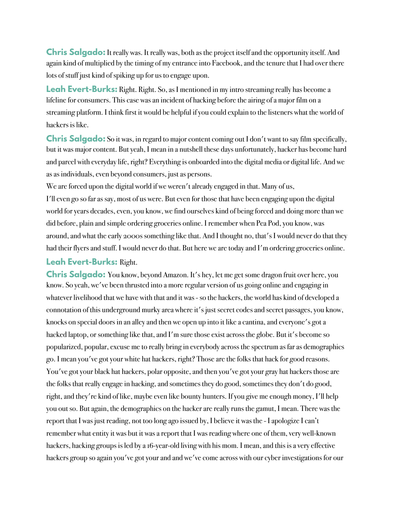**Chris Salgado:** It really was. It really was, both as the project itself and the opportunity itself. And again kind of multiplied by the timing of my entrance into Facebook, and the tenure that I had over there lots of stuff just kind of spiking up for us to engage upon.

**Leah Evert-Burks:** Right. Right. So, as I mentioned in my intro streaming really has become a lifeline for consumers. This case was an incident of hacking before the airing of a major film on a streaming platform. I think first it would be helpful if you could explain to the listeners what the world of hackers is like.

**Chris Salgado:** So it was, in regard to major content coming out I don't want to say film specifically, but it was major content. But yeah, I mean in a nutshell these days unfortunately, hacker has become hard and parcel with everyday life, right? Everything is onboarded into the digital media or digital life. And we as as individuals, even beyond consumers, just as persons.

We are forced upon the digital world if we weren't already engaged in that. Many of us,

I'll even go so far as say, most of us were. But even for those that have been engaging upon the digital world for years decades, even, you know, we find ourselves kind of being forced and doing more than we did before, plain and simple ordering groceries online. I remember when Pea Pod, you know, was around, and what the early 2000s something like that. And I thought no, that's I would never do that they had their flyers and stuff. I would never do that. But here we are today and I'm ordering groceries online.

## **Leah Evert-Burks:** Right.

**Chris Salgado:** You know, beyond Amazon. It's hey, let me get some dragon fruit over here, you know. So yeah, we've been thrusted into a more regular version of us going online and engaging in whatever livelihood that we have with that and it was - so the hackers, the world has kind of developed a connotation of this underground murky area where it's just secret codes and secret passages, you know, knocks on special doors in an alley and then we open up into it like a cantina, and everyone's got a hacked laptop, or something like that, and I'm sure those exist across the globe. But it's become so popularized, popular, excuse me to really bring in everybody across the spectrum as far as demographics go. I mean you've got your white hat hackers, right? Those are the folks that hack for good reasons. You've got your black hat hackers, polar opposite, and then you've got your gray hat hackers those are the folks that really engage in hacking, and sometimes they do good, sometimes they don't do good, right, and they're kind of like, maybe even like bounty hunters. If you give me enough money, I'll help you out so. But again, the demographics on the hacker are really runs the gamut, I mean. There was the report that I was just reading, not too long ago issued by, I believe it was the - I apologize I can't remember what entity it was but it was a report that I was reading where one of them, very well-known hackers, hacking groups is led by a 16-year-old living with his mom. I mean, and this is a very effective hackers group so again you've got your and and we've come across with our cyber investigations for our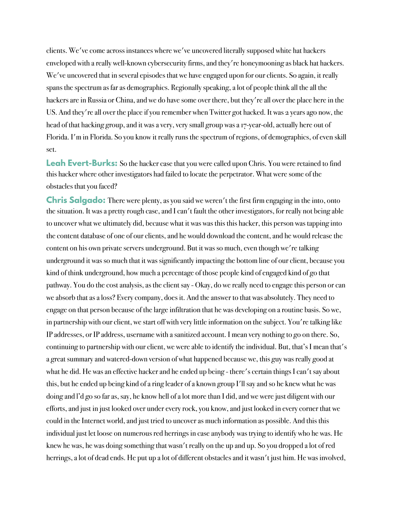clients. We've come across instances where we've uncovered literally supposed white hat hackers enveloped with a really well-known cybersecurity firms, and they're honeymooning as black hat hackers. We've uncovered that in several episodes that we have engaged upon for our clients. So again, it really spans the spectrum as far as demographics. Regionally speaking, a lot of people think all the all the hackers are in Russia or China, and we do have some over there, but they're all over the place here in the US. And they're all over the place if you remember when Twitter got hacked. It was 2 years ago now, the head of that hacking group, and it was a very, very small group was a 17-year-old, actually here out of Florida. I'm in Florida. So you know it really runs the spectrum of regions, of demographics, of even skill set.

**Leah Evert-Burks:** So the hacker case that you were called upon Chris. You were retained to find this hacker where other investigators had failed to locate the perpetrator. What were some of the obstacles that you faced?

**Chris Salgado:** There were plenty, as you said we weren't the first firm engaging in the into, onto the situation. It was a pretty rough case, and I can't fault the other investigators, for really not being able to uncover what we ultimately did, because what it was was this this hacker, this person was tapping into the content database of one of our clients, and he would download the content, and he would release the content on his own private servers underground. But it was so much, even though we're talking underground it was so much that it was significantly impacting the bottom line of our client, because you kind of think underground, how much a percentage of those people kind of engaged kind of go that pathway. You do the cost analysis, as the client say - Okay, do we really need to engage this person or can we absorb that as a loss? Every company, does it. And the answer to that was absolutely. They need to engage on that person because of the large infiltration that he was developing on a routine basis. So we, in partnership with our client, we start off with very little information on the subject. You're talking like IP addresses, or IP address, username with a sanitized account. I mean very nothing to go on there. So, continuing to partnership with our client, we were able to identify the individual. But, that's I mean that's a great summary and watered-down version of what happened because we, this guy was really good at what he did. He was an effective hacker and he ended up being - there's certain things I can't say about this, but he ended up being kind of a ring leader of a known group I'll say and so he knew what he was doing and l'd go so far as, say, he know hell of a lot more than I did, and we were just diligent with our efforts, and just in just looked over under every rock, you know, and just looked in every corner that we could in the Internet world, and just tried to uncover as much information as possible. And this this individual just let loose on numerous red herrings in case anybody was trying to identify who he was. He knew he was, he was doing something that wasn't really on the up and up. So you dropped a lot of red herrings, a lot of dead ends. He put up a lot of different obstacles and it wasn't just him. He was involved,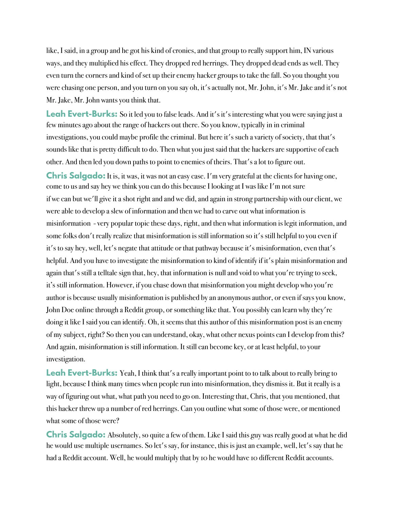like, I said, in a group and he got his kind of cronies, and that group to really support him, IN various ways, and they multiplied his effect. They dropped red herrings. They dropped dead ends as well. They even turn the corners and kind of set up their enemy hacker groups to take the fall. So you thought you were chasing one person, and you turn on you say oh, it's actually not, Mr. John, it's Mr. Jake and it's not Mr. Jake, Mr. John wants you think that.

Leah Evert-Burks: So it led you to false leads. And it's it's interesting what you were saying just a few minutes ago about the range of hackers out there. So you know, typically in in criminal investigations, you could maybe profile the criminal. But here it's such a variety of society, that that's sounds like that is pretty difficult to do. Then what you just said that the hackers are supportive of each other. And then led you down paths to point to enemies of theirs. That's a lot to figure out.

**Chris Salgado:** It is, it was, it was not an easy case. I'm very grateful at the clients for having one, come to us and say hey we think you can do this because I looking at I was like I'm not sure if we can but we'll give it a shot right and and we did, and again in strong partnership with our client, we were able to develop a slew of information and then we had to carve out what information is misinformation - very popular topic these days, right, and then what information is legit information, and some folks don't really realize that misinformation is still information so it's still helpful to you even if it's to say hey, well, let's negate that attitude or that pathway because it's misinformation, even that's helpful. And you have to investigate the misinformation to kind of identify if it's plain misinformation and again that's still a telltale sign that, hey, that information is null and void to what you're trying to seek, it's still information. However, if you chase down that misinformation you might develop who you're author is because usually misinformation is published by an anonymous author, or even if says you know, John Doe online through a Reddit group, or something like that. You possibly can learn why they're doing it like I said you can identify. Oh, it seems that this author of this misinformation post is an enemy of my subject, right? So then you can understand, okay, what other nexus points can I develop from this? And again, misinformation is still information. It still can become key, or at least helpful, to your investigation.

Leah Evert-Burks: Yeah, I think that's a really important point to to talk about to really bring to light, because I think many times when people run into misinformation, they dismiss it. But it really is a way of figuring out what, what path you need to go on. Interesting that, Chris, that you mentioned, that this hacker threw up a number of red herrings. Can you outline what some of those were, or mentioned what some of those were?

**Chris Salgado:** Absolutely, so quite a few of them. Like I said this guy was really good at what he did he would use multiple usernames. So let's say, for instance, this is just an example, well, let's say that he had a Reddit account. Well, he would multiply that by 10 he would have 10 different Reddit accounts.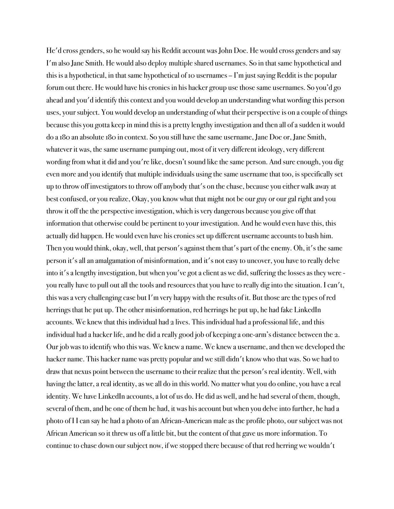He'd cross genders, so he would say his Reddit account was John Doe. He would cross genders and say I'm also Jane Smith. He would also deploy multiple shared usernames. So in that same hypothetical and this is a hypothetical, in that same hypothetical of 10 usernames – I'm just saying Reddit is the popular forum out there. He would have his cronies in his hacker group use those same usernames. So you'd go ahead and you'd identify this context and you would develop an understanding what wording this person uses, your subject. You would develop an understanding of what their perspective is on a couple of things because this you gotta keep in mind this is a pretty lengthy investigation and then all of a sudden it would do a 180 an absolute 180 in context. So you still have the same username, Jane Doe or, Jane Smith, whatever it was, the same username pumping out, most of it very different ideology, very different wording from what it did and you're like, doesn't sound like the same person. And sure enough, you dig even more and you identify that multiple individuals using the same username that too, is specifically set up to throw off investigators to throw off anybody that's on the chase, because you either walk away at best confused, or you realize, Okay, you know what that might not be our guy or our gal right and you throw it off the the perspective investigation, which is very dangerous because you give off that information that otherwise could be pertinent to your investigation. And he would even have this, this actually did happen. He would even have his cronies set up different username accounts to bash him. Then you would think, okay, well, that person's against them that's part of the enemy. Oh, it's the same person it's all an amalgamation of misinformation, and it's not easy to uncover, you have to really delve into it's a lengthy investigation, but when you've got a client as we did, suffering the losses as they were you really have to pull out all the tools and resources that you have to really dig into the situation. I can't, this was a very challenging case but I'm very happy with the results of it. But those are the types of red herrings that he put up. The other misinformation, red herrings he put up, he had fake LinkedIn accounts. We knew that this individual had 2 lives. This individual had a professional life, and this individual had a hacker life, and he did a really good job of keeping a one-arm's distance between the 2. Our job was to identify who this was. We knew a name. We knew a username, and then we developed the hacker name. This hacker name was pretty popular and we still didn't know who that was. So we had to draw that nexus point between the username to their realize that the person's real identity. Well, with having the latter, a real identity, as we all do in this world. No matter what you do online, you have a real identity. We have LinkedIn accounts, a lot of us do. He did as well, and he had several of them, though, several of them, and he one of them he had, it was his account but when you delve into further, he had a photo of I I can say he had a photo of an African-American male as the profile photo, our subject was not African American so it threw us off a little bit, but the content of that gave us more information. To continue to chase down our subject now, if we stopped there because of that red herring we wouldn't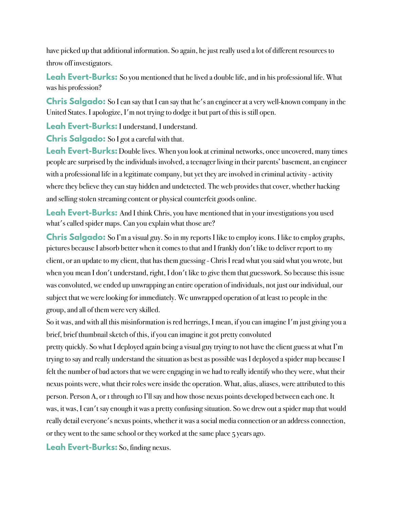have picked up that additional information. So again, he just really used a lot of different resources to throw off investigators.

Leah Evert-Burks: So you mentioned that he lived a double life, and in his professional life. What was his profession?

**Chris Salgado:** So I can say that I can say that he's an engineer at a very well-known company in the United States. I apologize, I'm not trying to dodge it but part of this is still open.

**Leah Evert-Burks:** I understand, I understand.

**Chris Salgado:** So I got a careful with that.

**Leah Evert-Burks:** Double lives. When you look at criminal networks, once uncovered, many times people are surprised by the individuals involved, a teenager living in their parents' basement, an engineer with a professional life in a legitimate company, but yet they are involved in criminal activity - activity where they believe they can stay hidden and undetected. The web provides that cover, whether hacking and selling stolen streaming content or physical counterfeit goods online.

Leah Evert-Burks: And I think Chris, you have mentioned that in your investigations you used what's called spider maps. Can you explain what those are?

**Chris Salgado:** So I'm a visual guy. So in my reports I like to employ icons. I like to employ graphs, pictures because I absorb better when it comes to that and I frankly don't like to deliver report to my client, or an update to my client, that has them guessing - Chris I read what you said what you wrote, but when you mean I don't understand, right, I don't like to give them that guesswork. So because this issue was convoluted, we ended up unwrapping an entire operation of individuals, not just our individual, our subject that we were looking for immediately. We unwrapped operation of at least 10 people in the group, and all of them were very skilled.

So it was, and with all this misinformation is red herrings, I mean, if you can imagine I'm just giving you a brief, brief thumbnail sketch of this, if you can imagine it got pretty convoluted

pretty quickly. So what I deployed again being a visual guy trying to not have the client guess at what I'm trying to say and really understand the situation as best as possible was I deployed a spider map because I felt the number of bad actors that we were engaging in we had to really identify who they were, what their nexus points were, what their roles were inside the operation. What, alias, aliases, were attributed to this person. Person A, or 1 through 10 I'll say and how those nexus points developed between each one. It was, it was, I can't say enough it was a pretty confusing situation. So we drew out a spider map that would really detail everyone's nexus points, whether it was a social media connection or an address connection, or they went to the same school or they worked at the same place 5 years ago.

**Leah Evert-Burks:** So, finding nexus.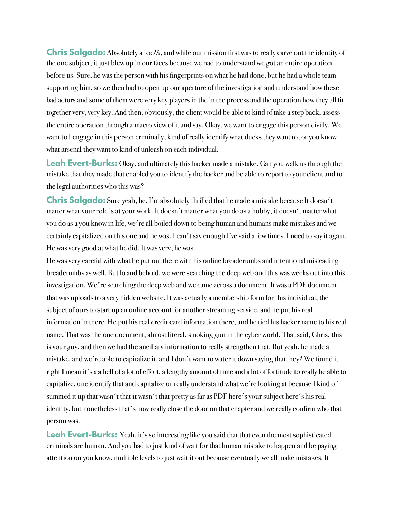**Chris Salgado:** Absolutely a 100%, and while our mission first was to really carve out the identity of the one subject, it just blew up in our faces because we had to understand we got an entire operation before us. Sure, he was the person with his fingerprints on what he had done, but he had a whole team supporting him, so we then had to open up our aperture of the investigation and understand how these bad actors and some of them were very key players in the in the process and the operation how they all fit together very, very key. And then, obviously, the client would be able to kind of take a step back, assess the entire operation through a macro view of it and say, Okay, we want to engage this person civilly. We want to I engage in this person criminally, kind of really identify what ducks they want to, or you know what arsenal they want to kind of unleash on each individual.

**Leah Evert-Burks:** Okay, and ultimately this hacker made a mistake. Can you walk us through the mistake that they made that enabled you to identify the hacker and be able to report to your client and to the legal authorities who this was?

**Chris Salgado:** Sure yeah, he, I'm absolutely thrilled that he made a mistake because It doesn't matter what your role is at your work. It doesn't matter what you do as a hobby, it doesn't matter what you do as a you know in life, we're all boiled down to being human and humans make mistakes and we certainly capitalized on this one and he was, I can't say enough I've said a few times. I need to say it again. He was very good at what he did. It was very, he was...

He was very careful with what he put out there with his online breadcrumbs and intentional misleading breadcrumbs as well. But lo and behold, we were searching the deep web and this was weeks out into this investigation. We're searching the deep web and we came across a document. It was a PDF document that was uploads to a very hidden website. It was actually a membership form for this individual, the subject of ours to start up an online account for another streaming service, and he put his real information in there. He put his real credit card information there, and he tied his hacker name to his real name. That was the one document, almost literal, smoking gun in the cyber world. That said, Chris, this is your guy, and then we had the ancillary information to really strengthen that. But yeah, he made a mistake, and we're able to capitalize it, and I don't want to water it down saying that, hey? We found it right I mean it's a a hell of a lot of effort, a lengthy amount of time and a lot of fortitude to really be able to capitalize, one identify that and capitalize or really understand what we're looking at because I kind of summed it up that wasn't that it wasn't that pretty as far as PDF here's your subject here's his real identity, but nonetheless that's how really close the door on that chapter and we really confirm who that person was.

**Leah Evert-Burks:** Yeah, it's so interesting like you said that that even the most sophisticated criminals are human. And you had to just kind of wait for that human mistake to happen and be paying attention on you know, multiple levels to just wait it out because eventually we all make mistakes. It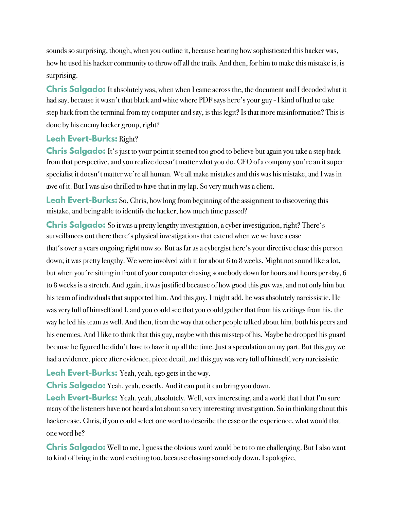sounds so surprising, though, when you outline it, because hearing how sophisticated this hacker was, how he used his hacker community to throw off all the trails. And then, for him to make this mistake is, is surprising.

**Chris Salgado:** It absolutely was, when when I came across the, the document and I decoded what it had say, because it wasn't that black and white where PDF says here's your guy - I kind of had to take step back from the terminal from my computer and say, is this legit? Is that more misinformation? This is done by his enemy hacker group, right?

## **Leah Evert-Burks:** Right?

**Chris Salgado:** It's just to your point it seemed too good to believe but again you take a step back from that perspective, and you realize doesn't matter what you do, CEO of a company you're an it super specialist it doesn't matter we're all human. We all make mistakes and this was his mistake, and I was in awe of it. But I was also thrilled to have that in my lap. So very much was a client.

**Leah Evert-Burks:** So, Chris, how long from beginning of the assignment to discovering this mistake, and being able to identify the hacker, how much time passed?

**Chris Salgado:** So it was a pretty lengthy investigation, a cyber investigation, right? There's surveillances out there there's physical investigations that extend when we we have a case that's over 2 years ongoing right now so. But as far as a cybergist here's your directive chase this person down; it was pretty lengthy. We were involved with it for about 6 to 8 weeks. Might not sound like a lot, but when you're sitting in front of your computer chasing somebody down for hours and hours per day, 6 to 8 weeks is a stretch. And again, it was justified because of how good this guy was, and not only him but his team of individuals that supported him. And this guy, I might add, he was absolutely narcissistic. He was very full of himself and I, and you could see that you could gather that from his writings from his, the way he led his team as well. And then, from the way that other people talked about him, both his peers and his enemies. And I like to think that this guy, maybe with this misstep of his. Maybe he dropped his guard because he figured he didn't have to have it up all the time. Just a speculation on my part. But this guy we had a evidence, piece after evidence, piece detail, and this guy was very full of himself, very narcissistic.

**Leah Evert-Burks:** Yeah, yeah, ego gets in the way.

**Chris Salgado:** Yeah, yeah, exactly. And it can put it can bring you down.

**Leah Evert-Burks:** Yeah. yeah, absolutely. Well, very interesting, and a world that I that I'm sure many of the listeners have not heard a lot about so very interesting investigation. So in thinking about this hacker case, Chris, if you could select one word to describe the case or the experience, what would that one word be?

**Chris Salgado:** Well to me, I guess the obvious word would be to to me challenging. But I also want to kind of bring in the word exciting too, because chasing somebody down, I apologize,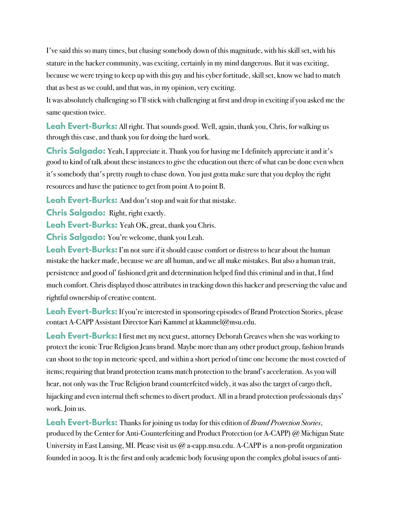I've said this so many times, but chasing somebody down of this magnitude, with his skill set, with his stature in the hacker community, was exciting, certainly in my mind dangerous. But it was exciting, because we were trying to keep up with this guy and his cyber fortitude, skill set, know we had to match that as best as we could, and that was, in my opinion, very exciting.

It was absolutely challenging so I'll stick with challenging at first and drop in exciting if you asked me the same question twice.

**Leah Evert-Burks:** All right. That sounds good. Well, again, thank you, Chris, for walking us through this case, and thank you for doing the hard work.

**Chris Salgado:** Yeah, I appreciate it. Thank you for having me I definitely appreciate it and it's good to kind of talk about these instances to give the education out there of what can be done even when it's somebody that's pretty rough to chase down. You just gotta make sure that you deploy the right resources and have the patience to get from point A to point B.

**Leah Evert-Burks:** And don't stop and wait for that mistake.

**Chris Salgado:** Right, right exactly.

**Leah Evert-Burks:** Yeah OK, great, thank you Chris.

**Chris Salgado:** You're welcome, thank you Leah.

**Leah Evert-Burks:** I'm not sure if it should cause comfort or distress to hear about the human mistake the hacker made, because we are all human, and we all make mistakes. But also a human trait, persistence and good ol' fashioned grit and determination helped find this criminal and in that, I find much comfort. Chris displayed those attributes in tracking down this hacker and preserving the value and rightful ownership of creative content.

**Leah Evert-Burks:** If you're interested in sponsoring episodes of Brand Protection Stories, please contact A-CAPP Assistant Director Kari Kammel at kkammel@msu.edu.

**Leah Evert-Burks:** I first met my next guest, attorney Deborah Greaves when she was working to protect the iconic True Religion Jeans brand. Maybe more than any other product group, fashion brands can shoot to the top in meteoric speed, and within a short period of time one become the most coveted of items; requiring that brand protection teams match protection to the brand's acceleration. As you will hear, not only was the True Religion brand counterfeited widely, it was also the target of cargo theft, hijacking and even internal theft schemes to divert product. All in a brand protection professionals days' work. Join us.

**Leah Evert-Burks:** Thanks for joining us today for this edition of *Brand Protection Stories*, produced by the Center for Anti-Counterfeiting and Product Protection (or A-CAPP) @ Michigan State University in East Lansing, MI. Please visit us @ a-capp.msu.edu. A-CAPP is a non-profit organization founded in 2009. It is the first and only academic body focusing upon the complex global issues of anti